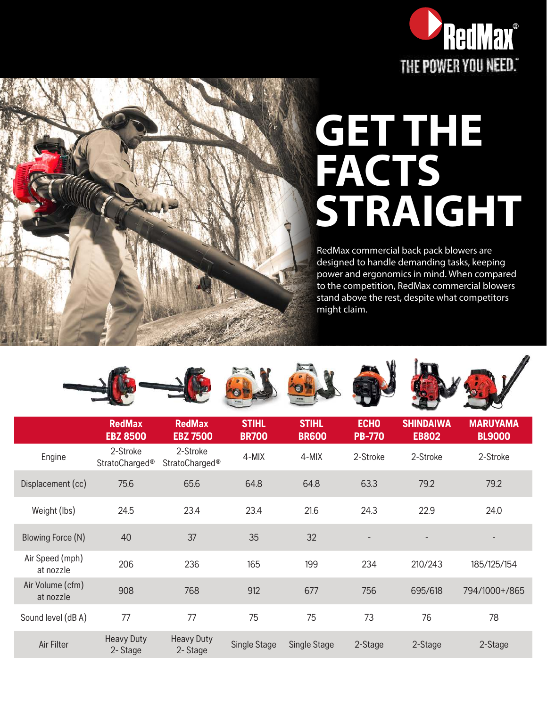

## **GET THE FACTS STRAIGHT**

RedMax commercial back pack blowers are designed to handle demanding tasks, keeping power and ergonomics in mind. When compared to the competition, RedMax commercial blowers stand above the rest, despite what competitors might claim.



|                               | <b>RedMax</b><br><b>EBZ 8500</b>       | <b>RedMax</b><br><b>EBZ 7500</b>       | <b>STIHL</b><br><b>BR700</b> | <b>STIHL</b><br><b>BR600</b> | <b>ECHO</b><br><b>PB-770</b> | <b>SHINDAIWA</b><br><b>EB802</b> | <b>MARUYAMA</b><br><b>BL9000</b> |
|-------------------------------|----------------------------------------|----------------------------------------|------------------------------|------------------------------|------------------------------|----------------------------------|----------------------------------|
| Engine                        | 2-Stroke<br>StratoCharged <sup>®</sup> | 2-Stroke<br>StratoCharged <sup>®</sup> | 4-MIX                        | 4-MIX                        | 2-Stroke                     | 2-Stroke                         | 2-Stroke                         |
| Displacement (cc)             | 75.6                                   | 65.6                                   | 64.8                         | 64.8                         | 63.3                         | 79.2                             | 79.2                             |
| Weight (lbs)                  | 24.5                                   | 23.4                                   | 23.4                         | 21.6                         | 24.3                         | 22.9                             | 24.0                             |
| Blowing Force (N)             | 40                                     | 37                                     | 35                           | 32                           | $\overline{\phantom{a}}$     |                                  |                                  |
| Air Speed (mph)<br>at nozzle  | 206                                    | 236                                    | 165                          | 199                          | 234                          | 210/243                          | 185/125/154                      |
| Air Volume (cfm)<br>at nozzle | 908                                    | 768                                    | 912                          | 677                          | 756                          | 695/618                          | 794/1000+/865                    |
| Sound level (dB A)            | 77                                     | 77                                     | 75                           | 75                           | 73                           | 76                               | 78                               |
| Air Filter                    | <b>Heavy Duty</b><br>2-Stage           | <b>Heavy Duty</b><br>2-Stage           | Single Stage                 | Single Stage                 | 2-Stage                      | 2-Stage                          | 2-Stage                          |